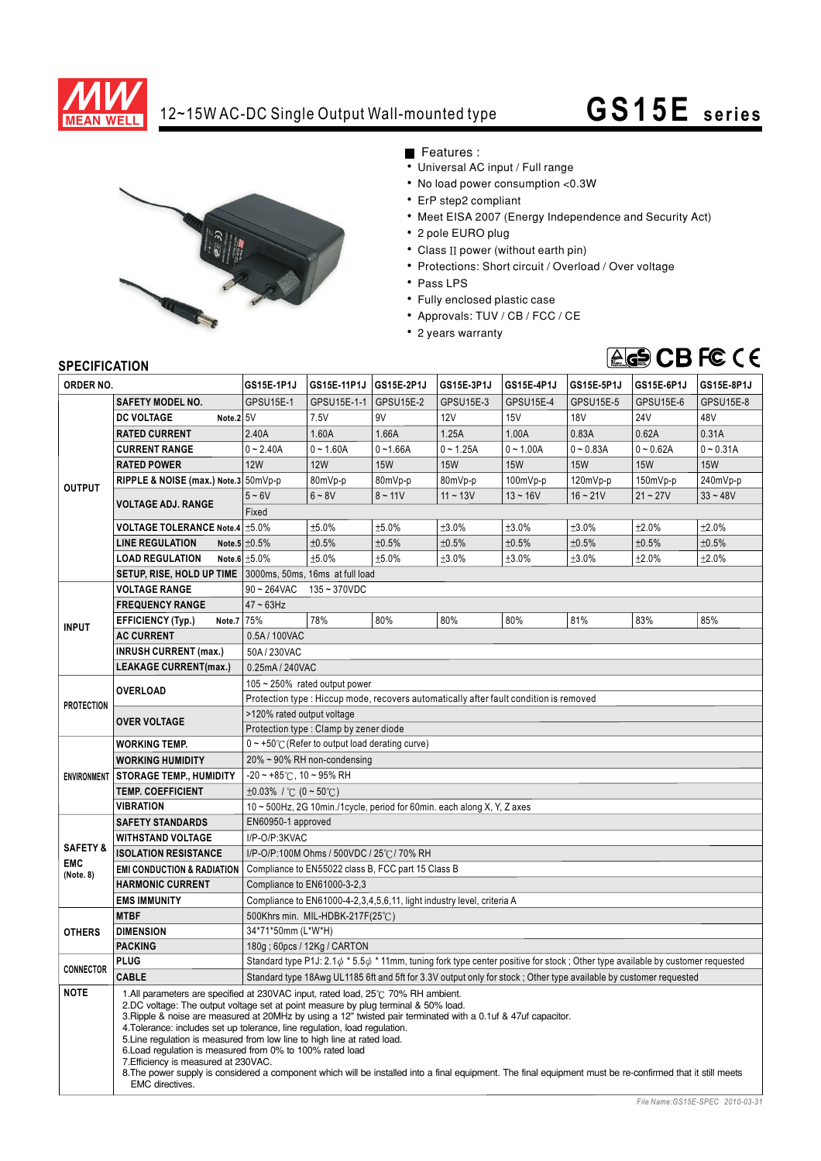

## 12~15W AC-DC Single Output Wall-mounted type **G S15E seri es**



Features :

- Universal AC input / Full range
- No load power consumption <0.3W
- ErP step2 compliant
- Meet EISA 2007 (Energy Independence and Security Act)
- 2 pole EURO plug
- $\bullet$  Class II power (without earth pin)
- Protections: Short circuit / Overload / Over voltage
- Pass LPS
- Fully enclosed plastic case
- Approvals: TUV / CB / FCC / CE
- 2 years warranty

## TUV Rheinland Product Safety geprUfre Sicherheit

## **SPECIFICATION**

| יוטהוסטו ווטברוט<br>ORDER NO.                  |                                                                                                                                                                                                                                                                                                                                                                                                                                                                                                                                                                                                                                                                                                                                          | GS15E-1P1J                                                                                                                                | GS15E-11P1J | GS15E-2P1J  | GS15E-3P1J  | GS15E-4P1J  | GS15E-5P1J  | GS15E-6P1J  | GS15E-8P1J  |
|------------------------------------------------|------------------------------------------------------------------------------------------------------------------------------------------------------------------------------------------------------------------------------------------------------------------------------------------------------------------------------------------------------------------------------------------------------------------------------------------------------------------------------------------------------------------------------------------------------------------------------------------------------------------------------------------------------------------------------------------------------------------------------------------|-------------------------------------------------------------------------------------------------------------------------------------------|-------------|-------------|-------------|-------------|-------------|-------------|-------------|
|                                                | <b>SAFETY MODEL NO.</b>                                                                                                                                                                                                                                                                                                                                                                                                                                                                                                                                                                                                                                                                                                                  | GPSU15E-1                                                                                                                                 | GPSU15E-1-1 | GPSU15E-2   | GPSU15E-3   | GPSU15E-4   | GPSU15E-5   | GPSU15E-6   | GPSU15E-8   |
| <b>OUTPUT</b>                                  | <b>DC VOLTAGE</b><br>Note.2 5V                                                                                                                                                                                                                                                                                                                                                                                                                                                                                                                                                                                                                                                                                                           |                                                                                                                                           | 7.5V        | 9V          | <b>12V</b>  | 15V         | 18V         | <b>24V</b>  | 48V         |
|                                                |                                                                                                                                                                                                                                                                                                                                                                                                                                                                                                                                                                                                                                                                                                                                          | 2.40A                                                                                                                                     | 1.60A       | 1.66A       | 1.25A       | 1.00A       | 0.83A       | 0.62A       | 0.31A       |
|                                                | <b>RATED CURRENT</b>                                                                                                                                                                                                                                                                                                                                                                                                                                                                                                                                                                                                                                                                                                                     |                                                                                                                                           |             |             |             |             |             |             |             |
|                                                | <b>CURRENT RANGE</b>                                                                                                                                                                                                                                                                                                                                                                                                                                                                                                                                                                                                                                                                                                                     | $0 - 2.40A$                                                                                                                               | $0 - 1.60A$ | $0 - 1.66A$ | $0 - 1.25A$ | $0 - 1.00A$ | $0 - 0.83A$ | $0 - 0.62A$ | $0 - 0.31A$ |
|                                                | <b>RATED POWER</b>                                                                                                                                                                                                                                                                                                                                                                                                                                                                                                                                                                                                                                                                                                                       | <b>12W</b>                                                                                                                                | <b>12W</b>  | <b>15W</b>  | <b>15W</b>  | <b>15W</b>  | <b>15W</b>  | <b>15W</b>  | <b>15W</b>  |
|                                                | RIPPLE & NOISE (max.) Note.3 50mVp-p                                                                                                                                                                                                                                                                                                                                                                                                                                                                                                                                                                                                                                                                                                     |                                                                                                                                           | 80mVp-p     | 80mVp-p     | 80mVp-p     | 100mVp-p    | 120mVp-p    | 150mVp-p    | 240mVp-p    |
|                                                | <b>VOLTAGE ADJ. RANGE</b>                                                                                                                                                                                                                                                                                                                                                                                                                                                                                                                                                                                                                                                                                                                | $5 - 6V$                                                                                                                                  | $6 - 8V$    | $8 - 11V$   | $11 - 13V$  | $13 - 16V$  | $16 - 21V$  | $21 - 27V$  | $33 - 48V$  |
|                                                |                                                                                                                                                                                                                                                                                                                                                                                                                                                                                                                                                                                                                                                                                                                                          | Fixed                                                                                                                                     |             |             |             |             |             |             |             |
|                                                | <b>VOLTAGE TOLERANCE Note.4</b>                                                                                                                                                                                                                                                                                                                                                                                                                                                                                                                                                                                                                                                                                                          | ±5.0%                                                                                                                                     | ±5.0%       | ±5.0%       | ±3.0%       | ±3.0%       | ±3.0%       | ±2.0%       | ±2.0%       |
|                                                | <b>LINE REGULATION</b>                                                                                                                                                                                                                                                                                                                                                                                                                                                                                                                                                                                                                                                                                                                   | Note.5 $\pm 0.5\%$                                                                                                                        | ±0.5%       | ±0.5%       | ±0.5%       | ±0.5%       | ±0.5%       | ±0.5%       | ±0.5%       |
|                                                | <b>LOAD REGULATION</b>                                                                                                                                                                                                                                                                                                                                                                                                                                                                                                                                                                                                                                                                                                                   | Note.6 $±5.0\%$                                                                                                                           | ±5.0%       | ±5.0%       | ±3.0%       | ±3.0%       | ±3.0%       | ±2.0%       | ±2.0%       |
|                                                | SETUP, RISE, HOLD UP TIME 3000ms, 50ms, 16ms at full load                                                                                                                                                                                                                                                                                                                                                                                                                                                                                                                                                                                                                                                                                |                                                                                                                                           |             |             |             |             |             |             |             |
| <b>INPUT</b>                                   | <b>VOLTAGE RANGE</b>                                                                                                                                                                                                                                                                                                                                                                                                                                                                                                                                                                                                                                                                                                                     | $90 \sim 264$ VAC<br>135~370VDC                                                                                                           |             |             |             |             |             |             |             |
|                                                | <b>FREQUENCY RANGE</b>                                                                                                                                                                                                                                                                                                                                                                                                                                                                                                                                                                                                                                                                                                                   | $47 \sim 63$ Hz                                                                                                                           |             |             |             |             |             |             |             |
|                                                | <b>EFFICIENCY (Typ.)</b><br>Note.7 75%                                                                                                                                                                                                                                                                                                                                                                                                                                                                                                                                                                                                                                                                                                   |                                                                                                                                           | 78%         | 80%         | 80%         | 80%         | 81%         | 83%         | 85%         |
|                                                | <b>AC CURRENT</b>                                                                                                                                                                                                                                                                                                                                                                                                                                                                                                                                                                                                                                                                                                                        | 0.5A/100VAC                                                                                                                               |             |             |             |             |             |             |             |
|                                                | <b>INRUSH CURRENT (max.)</b>                                                                                                                                                                                                                                                                                                                                                                                                                                                                                                                                                                                                                                                                                                             | 50A / 230VAC                                                                                                                              |             |             |             |             |             |             |             |
|                                                | <b>LEAKAGE CURRENT(max.)</b>                                                                                                                                                                                                                                                                                                                                                                                                                                                                                                                                                                                                                                                                                                             | 0.25mA / 240VAC                                                                                                                           |             |             |             |             |             |             |             |
| <b>PROTECTION</b>                              | <b>OVERLOAD</b>                                                                                                                                                                                                                                                                                                                                                                                                                                                                                                                                                                                                                                                                                                                          | $105 \sim 250\%$ rated output power                                                                                                       |             |             |             |             |             |             |             |
|                                                |                                                                                                                                                                                                                                                                                                                                                                                                                                                                                                                                                                                                                                                                                                                                          | Protection type : Hiccup mode, recovers automatically after fault condition is removed                                                    |             |             |             |             |             |             |             |
|                                                | <b>OVER VOLTAGE</b>                                                                                                                                                                                                                                                                                                                                                                                                                                                                                                                                                                                                                                                                                                                      | >120% rated output voltage                                                                                                                |             |             |             |             |             |             |             |
|                                                |                                                                                                                                                                                                                                                                                                                                                                                                                                                                                                                                                                                                                                                                                                                                          | Protection type: Clamp by zener diode                                                                                                     |             |             |             |             |             |             |             |
|                                                | <b>WORKING TEMP.</b>                                                                                                                                                                                                                                                                                                                                                                                                                                                                                                                                                                                                                                                                                                                     | $0 \sim +50^{\circ}$ (Refer to output load derating curve)                                                                                |             |             |             |             |             |             |             |
|                                                | <b>WORKING HUMIDITY</b>                                                                                                                                                                                                                                                                                                                                                                                                                                                                                                                                                                                                                                                                                                                  | 20% ~ 90% RH non-condensing                                                                                                               |             |             |             |             |             |             |             |
|                                                | ENVIRONMENT   STORAGE TEMP., HUMIDITY                                                                                                                                                                                                                                                                                                                                                                                                                                                                                                                                                                                                                                                                                                    | $-20 \sim +85^{\circ}$ C, 10 ~ 95% RH                                                                                                     |             |             |             |             |             |             |             |
|                                                | <b>TEMP. COEFFICIENT</b>                                                                                                                                                                                                                                                                                                                                                                                                                                                                                                                                                                                                                                                                                                                 | $\pm 0.03\%$ / °C (0 ~ 50°C)                                                                                                              |             |             |             |             |             |             |             |
|                                                | <b>VIBRATION</b>                                                                                                                                                                                                                                                                                                                                                                                                                                                                                                                                                                                                                                                                                                                         | 10 ~ 500Hz, 2G 10min./1cycle, period for 60min. each along X, Y, Z axes                                                                   |             |             |             |             |             |             |             |
|                                                | <b>SAFETY STANDARDS</b>                                                                                                                                                                                                                                                                                                                                                                                                                                                                                                                                                                                                                                                                                                                  | EN60950-1 approved                                                                                                                        |             |             |             |             |             |             |             |
| <b>SAFETY &amp;</b><br><b>EMC</b><br>(Note. 8) | <b>WITHSTAND VOLTAGE</b>                                                                                                                                                                                                                                                                                                                                                                                                                                                                                                                                                                                                                                                                                                                 | I/P-O/P:3KVAC                                                                                                                             |             |             |             |             |             |             |             |
|                                                | <b>ISOLATION RESISTANCE</b>                                                                                                                                                                                                                                                                                                                                                                                                                                                                                                                                                                                                                                                                                                              | I/P-O/P:100M Ohms / 500VDC / 25℃/ 70% RH                                                                                                  |             |             |             |             |             |             |             |
|                                                | <b>EMI CONDUCTION &amp; RADIATION</b>                                                                                                                                                                                                                                                                                                                                                                                                                                                                                                                                                                                                                                                                                                    | Compliance to EN55022 class B, FCC part 15 Class B                                                                                        |             |             |             |             |             |             |             |
|                                                | <b>HARMONIC CURRENT</b>                                                                                                                                                                                                                                                                                                                                                                                                                                                                                                                                                                                                                                                                                                                  | Compliance to EN61000-3-2,3                                                                                                               |             |             |             |             |             |             |             |
|                                                | <b>EMS IMMUNITY</b>                                                                                                                                                                                                                                                                                                                                                                                                                                                                                                                                                                                                                                                                                                                      | Compliance to EN61000-4-2, 3, 4, 5, 6, 11, light industry level, criteria A                                                               |             |             |             |             |             |             |             |
| <b>OTHERS</b>                                  | <b>MTBF</b>                                                                                                                                                                                                                                                                                                                                                                                                                                                                                                                                                                                                                                                                                                                              | 500Khrs min. MIL-HDBK-217F(25℃)                                                                                                           |             |             |             |             |             |             |             |
|                                                | <b>DIMENSION</b>                                                                                                                                                                                                                                                                                                                                                                                                                                                                                                                                                                                                                                                                                                                         | 34*71*50mm (L*W*H)                                                                                                                        |             |             |             |             |             |             |             |
|                                                | <b>PACKING</b>                                                                                                                                                                                                                                                                                                                                                                                                                                                                                                                                                                                                                                                                                                                           | 180g; 60pcs / 12Kg / CARTON                                                                                                               |             |             |             |             |             |             |             |
|                                                | <b>PLUG</b>                                                                                                                                                                                                                                                                                                                                                                                                                                                                                                                                                                                                                                                                                                                              | Standard type P1J: 2.1 $\phi$ * 5.5 $\phi$ * 11mm, tuning fork type center positive for stock; Other type available by customer requested |             |             |             |             |             |             |             |
| <b>CONNECTOR</b>                               | <b>CABLE</b>                                                                                                                                                                                                                                                                                                                                                                                                                                                                                                                                                                                                                                                                                                                             | Standard type 18Awg UL1185 6ft and 5ft for 3.3V output only for stock; Other type available by customer requested                         |             |             |             |             |             |             |             |
| <b>NOTE</b>                                    | 1.All parameters are specified at 230VAC input, rated load, 25°C 70% RH ambient.<br>2.DC voltage: The output voltage set at point measure by plug terminal & 50% load.<br>3. Ripple & noise are measured at 20MHz by using a 12" twisted pair terminated with a 0.1uf & 47uf capacitor.<br>4. Tolerance: includes set up tolerance, line regulation, load regulation.<br>5. Line regulation is measured from low line to high line at rated load.<br>6. Load regulation is measured from 0% to 100% rated load<br>7. Efficiency is measured at 230 VAC.<br>8. The power supply is considered a component which will be installed into a final equipment. The final equipment must be re-confirmed that it still meets<br>EMC directives. |                                                                                                                                           |             |             |             |             |             |             |             |